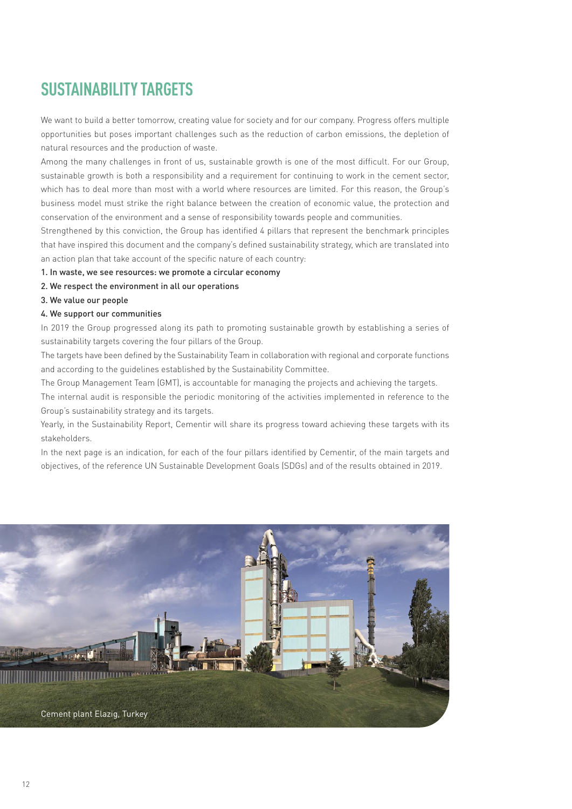# **SUSTAINABILITY TARGETS**

We want to build a better tomorrow, creating value for society and for our company. Progress offers multiple opportunities but poses important challenges such as the reduction of carbon emissions, the depletion of natural resources and the production of waste.

Among the many challenges in front of us, sustainable growth is one of the most difficult. For our Group, sustainable growth is both a responsibility and a requirement for continuing to work in the cement sector, which has to deal more than most with a world where resources are limited. For this reason, the Group's business model must strike the right balance between the creation of economic value, the protection and conservation of the environment and a sense of responsibility towards people and communities.

Strengthened by this conviction, the Group has identified 4 pillars that represent the benchmark principles that have inspired this document and the company's defined sustainability strategy, which are translated into an action plan that take account of the specific nature of each country:

- 1. In waste, we see resources: we promote a circular economy
- 2. We respect the environment in all our operations
- 3. We value our people
- 4. We support our communities

In 2019 the Group progressed along its path to promoting sustainable growth by establishing a series of sustainability targets covering the four pillars of the Group.

The targets have been defined by the Sustainability Team in collaboration with regional and corporate functions and according to the guidelines established by the Sustainability Committee.

The Group Management Team (GMT), is accountable for managing the projects and achieving the targets.

The internal audit is responsible the periodic monitoring of the activities implemented in reference to the Group's sustainability strategy and its targets.

Yearly, in the Sustainability Report, Cementir will share its progress toward achieving these targets with its stakeholders.

In the next page is an indication, for each of the four pillars identified by Cementir, of the main targets and objectives, of the reference UN Sustainable Development Goals (SDGs) and of the results obtained in 2019.

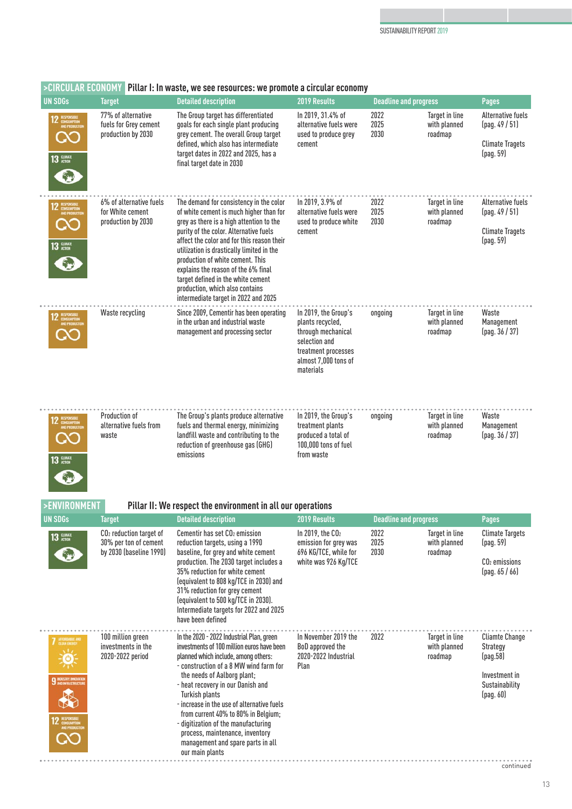| <b>UN SDGs</b>                                            | <b>Target</b>                                                     | <b>Detailed description</b>                                                                                                                                                                                                                                                                                                   | 2019 Results                                                                                                                                | <b>Deadline and progress</b> |                                           | <b>Pages</b>                                                                    |
|-----------------------------------------------------------|-------------------------------------------------------------------|-------------------------------------------------------------------------------------------------------------------------------------------------------------------------------------------------------------------------------------------------------------------------------------------------------------------------------|---------------------------------------------------------------------------------------------------------------------------------------------|------------------------------|-------------------------------------------|---------------------------------------------------------------------------------|
| RESPONSIBLE<br>CONSUMPTION<br>AND PRODUCTION<br>13 RUMATE | 77% of alternative<br>fuels for Grey cement<br>production by 2030 | The Group target has differentiated<br>goals for each single plant producing<br>grey cement. The overall Group target<br>defined, which also has intermediate<br>target dates in 2022 and 2025, has a<br>final target date in 2030                                                                                            | In 2019, 31.4% of<br>alternative fuels were<br>used to produce grey<br>cement                                                               | 2022<br>2025<br>2030         | Target in line<br>with planned<br>roadmap | <b>Alternative fuels</b><br>(pag. 49/51)<br><b>Climate Tragets</b><br>(paq. 59) |
| RESPONSIBLE<br>ONSUMPTION<br>AND PRODUCTIO                | 6% of alternative fuels<br>for White cement                       | The demand for consistency in the color<br>of white cement is much higher than for<br>grey as there is a high attention to the                                                                                                                                                                                                | In 2019, 3.9% of<br>alternative fuels were<br>used to produce white                                                                         | 2022<br>2025<br>2030         | Target in line<br>with planned<br>roadmap | <b>Alternative fuels</b><br>(pag. 49/51)                                        |
| $13$ $\frac{CUMAT}{ACTON}$                                | production by 2030                                                | purity of the color. Alternative fuels<br>affect the color and for this reason their<br>utilization is drastically limited in the<br>production of white cement. This<br>explains the reason of the 6% final<br>target defined in the white cement<br>production, which also contains<br>intermediate target in 2022 and 2025 | cement                                                                                                                                      |                              |                                           | <b>Climate Tragets</b><br>(pag. 59)                                             |
| RESPONSIBLE<br>CONSUMPTION<br>AND PRODUCTION              | Waste recycling                                                   | Since 2009, Cementir has been operating<br>in the urban and industrial waste<br>management and processing sector                                                                                                                                                                                                              | In 2019, the Group's<br>plants recycled,<br>through mechanical<br>selection and<br>treatment processes<br>almost 7,000 tons of<br>materials | ongoing                      | Target in line<br>with planned<br>roadmap | Waste<br>Management<br>(pag. 36 / 37)                                           |
| 2 RESPONSIBLE<br>CONSUMPTION<br>AND PRODUCTIC             | Production of<br>alternative fuels from<br>waste                  | The Group's plants produce alternative<br>fuels and thermal energy, minimizing<br>landfill waste and contributing to the<br>reduction of greenhouse gas (GHG)<br>emissions                                                                                                                                                    | In 2019, the Group's<br>treatment plants<br>produced a total of<br>100,000 tons of fuel<br>from waste                                       | ongoing                      | Target in line<br>with planned<br>roadmap | Waste<br>Management<br>(pag. 36 / 37)                                           |

# **>CIRCULAR ECONOMY Pillar I: In waste, we see resources: we promote a circular economy**

12 '

### **>ENVIRONMENT Pillar II: We respect the environment in all our operations**

| <b>UN SDGs</b>                                                                          | <b>Target</b>                                                                 | <b>Detailed description</b>                                                                                                                                                                                                                                                                                                                                                                                                                                                                   | <b>2019 Results</b>                                                                          | <b>Deadline and progress</b> |                                           | <b>Pages</b>                                                                                  |
|-----------------------------------------------------------------------------------------|-------------------------------------------------------------------------------|-----------------------------------------------------------------------------------------------------------------------------------------------------------------------------------------------------------------------------------------------------------------------------------------------------------------------------------------------------------------------------------------------------------------------------------------------------------------------------------------------|----------------------------------------------------------------------------------------------|------------------------------|-------------------------------------------|-----------------------------------------------------------------------------------------------|
| $13$ $\frac{CUMATE}{ACTOON}$<br>œ                                                       | $CO2$ reduction target of<br>30% per ton of cement<br>by 2030 (baseline 1990) | Cementir has set CO <sub>2</sub> emission<br>reduction targets, using a 1990<br>baseline, for grey and white cement<br>production. The 2030 target includes a<br>35% reduction for white cement<br>(equivalent to 808 kg/TCE in 2030) and<br>31% reduction for grey cement<br>(equivalent to 500 kg/TCE in 2030).<br>Intermediate targets for 2022 and 2025<br>have been defined                                                                                                              | In 2019, the $CO2$<br>emission for grey was<br>696 KG/TCE, while for<br>white was 926 Kg/TCE | 2022<br>2025<br>2030         | Target in line<br>with planned<br>roadmap | <b>Climate Targets</b><br>(paq. 59)<br>$CO2$ emissions<br>(pag. 65 / 66)                      |
| AFFORDABLE AND<br>9 NOUSTRY, INNOVATION<br>responsible<br>Consumption<br>UND Production | 100 million green<br>investments in the<br>2020-2022 period                   | In the 2020 - 2022 Industrial Plan, green<br>investments of 100 million euros have been<br>planned which include, among others:<br>- construction of a 8 MW wind farm for<br>the needs of Aalborg plant;<br>- heat recovery in our Danish and<br><b>Turkish plants</b><br>- increase in the use of alternative fuels<br>from current 40% to 80% in Belgium;<br>- digitization of the manufacturing<br>process, maintenance, inventory<br>management and spare parts in all<br>our main plants | In November 2019 the<br>BoD approved the<br>2020-2022 Industrial<br>Plan                     | 2022                         | Target in line<br>with planned<br>roadmap | <b>Cliamte Change</b><br>Strategy<br>(paq.58)<br>Investment in<br>Sustainability<br>(pag. 60) |

13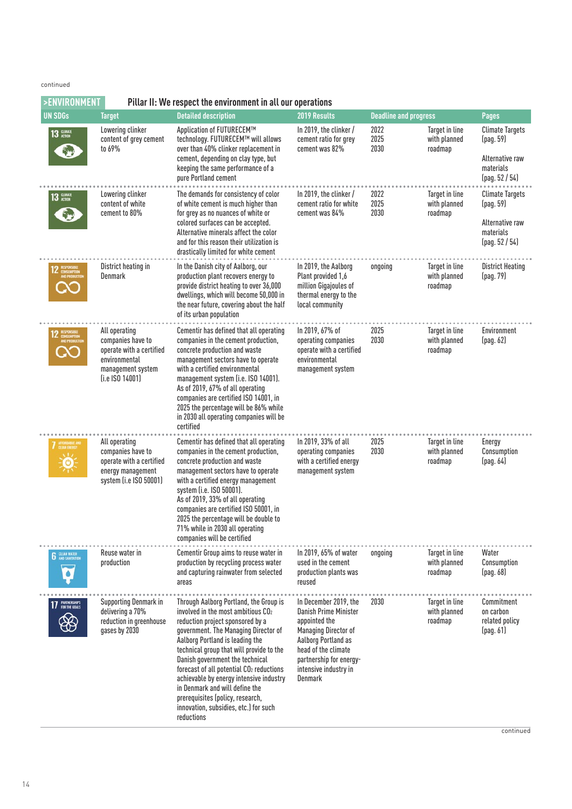#### continued

| >ENVIRONMENT                       |                                                                                                                           | Pillar II: We respect the environment in all our operations                                                                                                                                                                                                                                                                                                                                                                                                                                                            |                                                                                                                                                                                                             |                              |                                                  |                                                                                       |
|------------------------------------|---------------------------------------------------------------------------------------------------------------------------|------------------------------------------------------------------------------------------------------------------------------------------------------------------------------------------------------------------------------------------------------------------------------------------------------------------------------------------------------------------------------------------------------------------------------------------------------------------------------------------------------------------------|-------------------------------------------------------------------------------------------------------------------------------------------------------------------------------------------------------------|------------------------------|--------------------------------------------------|---------------------------------------------------------------------------------------|
| <b>UN SDGs</b>                     | <b>Target</b>                                                                                                             | <b>Detailed description</b>                                                                                                                                                                                                                                                                                                                                                                                                                                                                                            | 2019 Results                                                                                                                                                                                                | <b>Deadline and progress</b> |                                                  | <b>Pages</b>                                                                          |
| $13$ $\frac{CUMTE}{ACTON}$         | Lowering clinker<br>content of grey cement<br>to 69%                                                                      | Application of FUTURECEM™<br>technology. FUTURECEM™ will allows<br>over than 40% clinker replacement in<br>cement, depending on clay type, but<br>keeping the same performance of a<br>pure Portland cement                                                                                                                                                                                                                                                                                                            | In 2019, the clinker $/$<br>cement ratio for grey<br>cement was 82%                                                                                                                                         | 2022<br>2025<br>2030         | Target in line<br>with planned<br>roadmap        | <b>Climate Targets</b><br>(pag. 59)<br>Alternative raw<br>materials<br>[pag. 52 / 54] |
| <b>13 СИМЛЕ</b>                    | Lowering clinker<br>content of white<br>cement to 80%                                                                     | The demands for consistency of color<br>of white cement is much higher than<br>for grey as no nuances of white or<br>colored surfaces can be accepted.<br>Alternative minerals affect the color<br>and for this reason their utilization is<br>drastically limited for white cement                                                                                                                                                                                                                                    | In 2019, the clinker $/$<br>cement ratio for white<br>cement was 84%                                                                                                                                        | 2022<br>2025<br>2030         | Target in line<br>with planned<br>roadmap        | <b>Climate Targets</b><br>(pag. 59)<br>Alternative raw<br>materials<br>[pag. 52 / 54] |
|                                    | District heating in<br>Denmark                                                                                            | In the Danish city of Aalborg, our<br>production plant recovers energy to<br>provide district heating to over 36,000<br>dwellings, which will become 50,000 in<br>the near future, covering about the half<br>of its urban population                                                                                                                                                                                                                                                                                  | In 2019, the Aalborg<br>Plant provided 1,6<br>million Gigajoules of<br>thermal energy to the<br>local community                                                                                             | ongoing                      | Target in line<br>with planned<br>roadmap        | <b>District Heating</b><br>(pag. 79)                                                  |
|                                    | All operating<br>companies have to<br>operate with a certified<br>environmental<br>management system<br>$(i.e$ ISO 14001) | Cementir has defined that all operating<br>companies in the cement production,<br>concrete production and waste<br>management sectors have to operate<br>with a certified environmental<br>management system (i.e. ISO 14001).<br>As of 2019, 67% of all operating<br>companies are certified ISO 14001, in<br>2025 the percentage will be 86% while<br>in 2030 all operating companies will be<br>certified                                                                                                           | In 2019, 67% of<br>operating companies<br>operate with a certified<br>environmental<br>management system                                                                                                    | 2025<br>2030                 | Target in line<br>with planned<br>roadmap        | Environment<br>[pag. 62]                                                              |
| AFFORDABLE AND<br>$\ddot{\bullet}$ | All operating<br>companies have to<br>operate with a certified<br>energy management<br>system (i.e ISO 50001)             | Cementir has defined that all operating<br>companies in the cement production,<br>concrete production and waste<br>management sectors have to operate<br>with a certified energy management<br>system (i.e. ISO 50001).<br>As of 2019, 33% of all operating<br>companies are certified ISO 50001, in<br>2025 the percentage will be double to<br>71% while in 2030 all operating<br>companies will be certified                                                                                                        | In 2019, 33% of all<br>operating companies<br>with a certified energy<br>management system                                                                                                                  | 2025<br>2030                 | Target in line<br>with planned<br>roadmap        | Energy<br>Consumption<br>[pag. 64]                                                    |
| <b>6</b> CLEAN WATER<br>۵          | Reuse water in<br>production                                                                                              | Cementir Group aims to reuse water in<br>production by recycling process water<br>and capturing rainwater from selected<br>areas                                                                                                                                                                                                                                                                                                                                                                                       | In 2019, 65% of water<br>used in the cement<br>production plants was<br>reused                                                                                                                              | ongoing                      | <b>Target in line</b><br>with planned<br>roadmap | Water<br>Consumption<br>(pag. 68)                                                     |
| 17 PARTNERSHIPS                    | <b>Supporting Denmark in</b><br>delivering a 70%<br>reduction in greenhouse<br>gases by 2030                              | Through Aalborg Portland, the Group is<br>involved in the most ambitious CO <sub>2</sub><br>reduction project sponsored by a<br>government. The Managing Director of<br>Aalborg Portland is leading the<br>technical group that will provide to the<br>Danish government the technical<br>forecast of all potential CO <sub>2</sub> reductions<br>achievable by energy intensive industry<br>in Denmark and will define the<br>prerequisites (policy, research,<br>innovation, subsidies, etc.) for such<br>reductions | In December 2019, the<br>Danish Prime Minister<br>appointed the<br><b>Managing Director of</b><br>Aalborg Portland as<br>head of the climate<br>partnership for energy-<br>intensive industry in<br>Denmark | 2030                         | Target in line<br>with planned<br>roadmap        | Commitment<br>on carbon<br>related policy<br>[pag. 61]                                |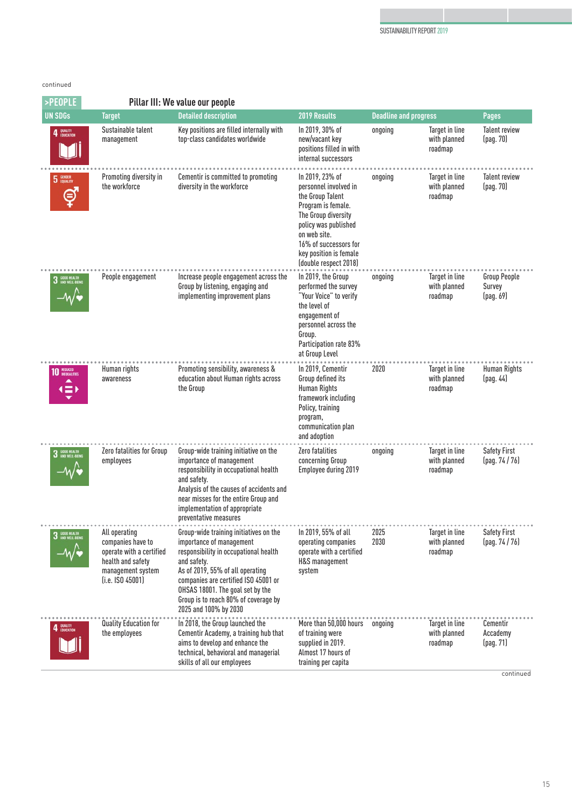### continued

| >PEOPLE                        |                                                                                                                                | Pillar III: We value our people                                                                                                                                                                                                                                                                             |                                                                                                                                                                                                                               |                              |                                           |                                            |
|--------------------------------|--------------------------------------------------------------------------------------------------------------------------------|-------------------------------------------------------------------------------------------------------------------------------------------------------------------------------------------------------------------------------------------------------------------------------------------------------------|-------------------------------------------------------------------------------------------------------------------------------------------------------------------------------------------------------------------------------|------------------------------|-------------------------------------------|--------------------------------------------|
| <b>UN SDGs</b>                 | <b>Target</b>                                                                                                                  | <b>Detailed description</b>                                                                                                                                                                                                                                                                                 | 2019 Results                                                                                                                                                                                                                  | <b>Deadline and progress</b> |                                           | <b>Pages</b>                               |
| QUALITY<br>Education           | Sustainable talent<br>management                                                                                               | Key positions are filled internally with<br>top-class candidates worldwide                                                                                                                                                                                                                                  | In 2019, 30% of<br>new/vacant key<br>positions filled in with<br>internal successors                                                                                                                                          | ongoing                      | Target in line<br>with planned<br>roadmap | <b>Talent review</b><br>(pag. 70)          |
| <b>GENDER</b><br>EQUALITY<br>⊜ | Promoting diversity in<br>the workforce                                                                                        | Cementir is committed to promoting<br>diversity in the workforce                                                                                                                                                                                                                                            | In 2019, 23% of<br>personnel involved in<br>the Group Talent<br>Program is female.<br>The Group diversity<br>policy was published<br>on web site.<br>16% of successors for<br>key position is female<br>(double respect 2018) | ongoing                      | Target in line<br>with planned<br>roadmap | <b>Talent review</b><br>(pag. 70)          |
| 3 GOOD HEALTH                  | People engagement                                                                                                              | Increase people engagement across the<br>Group by listening, engaging and<br>implementing improvement plans                                                                                                                                                                                                 | In 2019, the Group<br>performed the survey<br>"Your Voice" to verify<br>the level of<br>engagement of<br>personnel across the<br>Group.<br>Participation rate 83%<br>at Group Level                                           | ongoing                      | Target in line<br>with planned<br>roadmap | <b>Group People</b><br>Survey<br>(pag. 69) |
| <b>10</b> REDUCED              | Human rights<br>awareness                                                                                                      | Promoting sensibility, awareness &<br>education about Human rights across<br>the Group                                                                                                                                                                                                                      | In 2019. Cementir<br>Group defined its<br><b>Human Rights</b><br>framework including<br>Policy, training<br>program,<br>communication plan<br>and adoption                                                                    | 2020                         | Target in line<br>with planned<br>roadmap | <b>Human Rights</b><br>(pag. 44)           |
| 3 GOOD HEALTH                  | Zero fatalities for Group<br>employees                                                                                         | Group-wide training initiative on the<br>importance of management<br>responsibility in occupational health<br>and safety.<br>Analysis of the causes of accidents and<br>near misses for the entire Group and<br>implementation of appropriate<br>preventative measures                                      | Zero fatalities<br>concerning Group<br>Employee during 2019                                                                                                                                                                   | ongoing                      | Target in line<br>with planned<br>roadmap | <b>Safety First</b><br>(pag. 74 / 76)      |
| 3 GOOD HEALTH                  | All operating<br>companies have to<br>operate with a certified<br>health and safety<br>management system<br>$(i.e.$ ISO 45001) | Group-wide training initiatives on the<br>importance of management<br>responsibility in occupational health<br>and safety.<br>As of 2019, 55% of all operating<br>companies are certified ISO 45001 or<br>OHSAS 18001. The goal set by the<br>Group is to reach 80% of coverage by<br>2025 and 100% by 2030 | In 2019, 55% of all<br>operating companies<br>operate with a certified<br>H&S management<br>system                                                                                                                            | 2025<br>2030                 | Target in line<br>with planned<br>roadmap | <b>Safety First</b><br>(pag. 74 / 76)      |
| 4 BUALITY                      | Quality Education for<br>the employees                                                                                         | In 2018, the Group launched the<br>Cementir Academy, a training hub that<br>aims to develop and enhance the<br>technical, behavioral and managerial<br>skills of all our employees                                                                                                                          | More than 50,000 hours<br>of training were<br>supplied in 2019.<br>Almost 17 hours of<br>training per capita                                                                                                                  | ongoing                      | Target in line<br>with planned<br>roadmap | Cementir<br>Accademy<br>(pag. 71)          |

continued